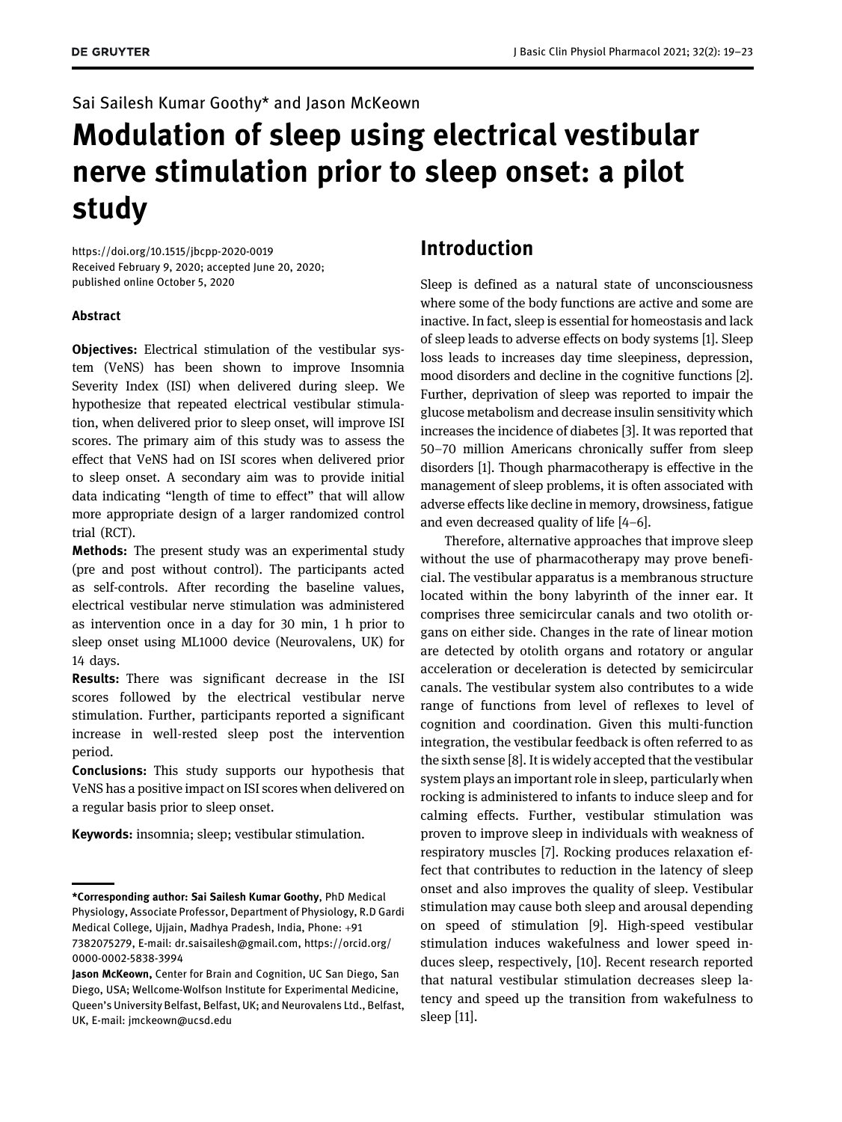### Sai Sailesh Kumar Goothy\* and Jason McKeown

# Modulation of sleep using electrical vestibular nerve stimulation prior to sleep onset: a pilot study

<https://doi.org/10.1515/jbcpp-2020-0019> Received February 9, 2020; accepted June 20, 2020; published online October 5, 2020

#### Abstract

Objectives: Electrical stimulation of the vestibular system (VeNS) has been shown to improve Insomnia Severity Index (ISI) when delivered during sleep. We hypothesize that repeated electrical vestibular stimulation, when delivered prior to sleep onset, will improve ISI scores. The primary aim of this study was to assess the effect that VeNS had on ISI scores when delivered prior to sleep onset. A secondary aim was to provide initial data indicating "length of time to effect" that will allow more appropriate design of a larger randomized control trial (RCT).

Methods: The present study was an experimental study (pre and post without control). The participants acted as self-controls. After recording the baseline values, electrical vestibular nerve stimulation was administered as intervention once in a day for 30 min, 1 h prior to sleep onset using ML1000 device (Neurovalens, UK) for 14 days.

**Results:** There was significant decrease in the ISI scores followed by the electrical vestibular nerve stimulation. Further, participants reported a significant increase in well-rested sleep post the intervention period.

Conclusions: This study supports our hypothesis that VeNS has a positive impact on ISI scores when delivered on a regular basis prior to sleep onset.

Keywords: insomnia; sleep; vestibular stimulation.

## Introduction

Sleep is defined as a natural state of unconsciousness where some of the body functions are active and some are inactive. In fact, sleep is essential for homeostasis and lack of sleep leads to adverse effects on body systems [\[1](#page-4-0)]. Sleep loss leads to increases day time sleepiness, depression, mood disorders and decline in the cognitive functions [\[2\]](#page-4-1). Further, deprivation of sleep was reported to impair the glucose metabolism and decrease insulin sensitivity which increases the incidence of diabetes [\[3](#page-4-2)]. It was reported that 50–70 million Americans chronically suffer from sleep disorders [[1\]](#page-4-0). Though pharmacotherapy is effective in the management of sleep problems, it is often associated with adverse effects like decline in memory, drowsiness, fatigue and even decreased quality of life [4[–](#page-4-3)6].

Therefore, alternative approaches that improve sleep without the use of pharmacotherapy may prove beneficial. The vestibular apparatus is a membranous structure located within the bony labyrinth of the inner ear. It comprises three semicircular canals and two otolith organs on either side. Changes in the rate of linear motion are detected by otolith organs and rotatory or angular acceleration or deceleration is detected by semicircular canals. The vestibular system also contributes to a wide range of functions from level of reflexes to level of cognition and coordination. Given this multi-function integration, the vestibular feedback is often referred to as the sixth sense [\[8](#page-4-4)]. It is widely accepted that the vestibular system plays an important role in sleep, particularly when rocking is administered to infants to induce sleep and for calming effects. Further, vestibular stimulation was proven to improve sleep in individuals with weakness of respiratory muscles [[7](#page-4-5)]. Rocking produces relaxation effect that contributes to reduction in the latency of sleep onset and also improves the quality of sleep. Vestibular stimulation may cause both sleep and arousal depending on speed of stimulation [[9\]](#page-4-6). High-speed vestibular stimulation induces wakefulness and lower speed induces sleep, respectively, [[10](#page-4-7)]. Recent research reported that natural vestibular stimulation decreases sleep latency and speed up the transition from wakefulness to sleep [[11\]](#page-4-8).

<sup>\*</sup>Corresponding author: Sai Sailesh Kumar Goothy, PhD Medical Physiology, Associate Professor, Department of Physiology, R.D Gardi Medical College, Ujjain, Madhya Pradesh, India, Phone: +91 7382075279, E-mail: [dr.saisailesh@gmail.com,](mailto:dr.saisailesh@gmail.com) [https://orcid.org/](https://orcid.org/0000-0002-5838-3994) [0000-0002-5838-3994](https://orcid.org/0000-0002-5838-3994)

Jason McKeown, Center for Brain and Cognition, UC San Diego, San Diego, USA; Wellcome-Wolfson Institute for Experimental Medicine, Queen's University Belfast, Belfast, UK; and Neurovalens Ltd., Belfast, UK, E-mail: [jmckeown@ucsd.edu](mailto:jmckeown@ucsd.edu)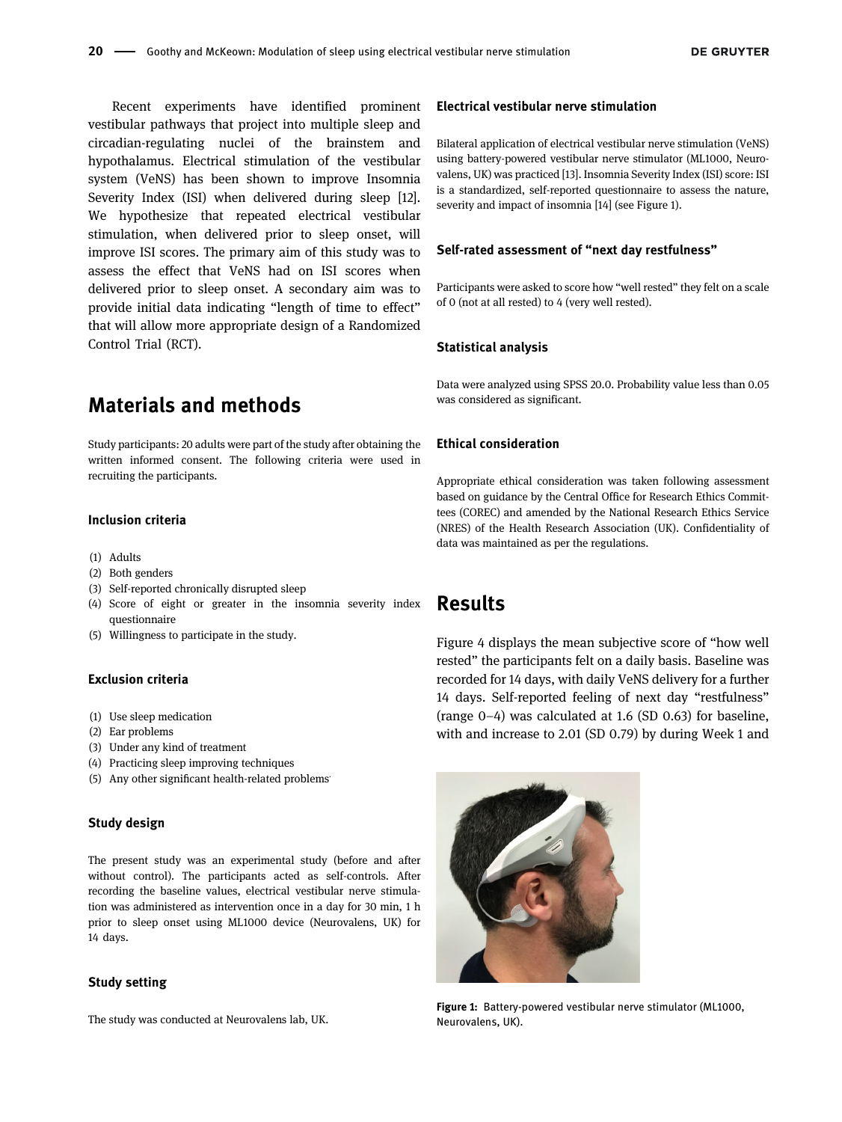Recent experiments have identified prominent vestibular pathways that project into multiple sleep and circadian-regulating nuclei of the brainstem and hypothalamus. Electrical stimulation of the vestibular system (VeNS) has been shown to improve Insomnia Severity Index (ISI) when delivered during sleep [\[12](#page-4-9)]. We hypothesize that repeated electrical vestibular stimulation, when delivered prior to sleep onset, will improve ISI scores. The primary aim of this study was to assess the effect that VeNS had on ISI scores when delivered prior to sleep onset. A secondary aim was to provide initial data indicating "length of time to effect" that will allow more appropriate design of a Randomized Control Trial (RCT).

# Materials and methods

Study participants: 20 adults were part of the study after obtaining the written informed consent. The following criteria were used in recruiting the participants.

#### Inclusion criteria

- (1) Adults
- (2) Both genders
- (3) Self-reported chronically disrupted sleep
- (4) Score of eight or greater in the insomnia severity index questionnaire
- (5) Willingness to participate in the study.

#### Exclusion criteria

- (1) Use sleep medication
- (2) Ear problems
- (3) Under any kind of treatment
- (4) Practicing sleep improving techniques
- (5) Any other significant health-related problems.

#### Study design

The present study was an experimental study (before and after without control). The participants acted as self-controls. After recording the baseline values, electrical vestibular nerve stimulation was administered as intervention once in a day for 30 min, 1 h prior to sleep onset using ML1000 device (Neurovalens, UK) for 14 days.

#### Study setting

The study was conducted at Neurovalens lab, UK.

#### Electrical vestibular nerve stimulation

Bilateral application of electrical vestibular nerve stimulation (VeNS) using battery-powered vestibular nerve stimulator (ML1000, Neurovalens, UK) was practiced [[13](#page-4-10)]. Insomnia Severity Index (ISI) score: ISI is a standardized, self-reported questionnaire to assess the nature, severity and impact of insomnia [\[14\]](#page-4-11) [\(see Figure 1\)](#page-1-0).

#### Self-rated assessment of "next day restfulness"

Participants were asked to score how "well rested" they felt on a scale of 0 (not at all rested) to 4 (very well rested).

#### Statistical analysis

Data were analyzed using SPSS 20.0. Probability value less than 0.05 was considered as significant.

#### Ethical consideration

Appropriate ethical consideration was taken following assessment based on guidance by the Central Office for Research Ethics Committees (COREC) and amended by the National Research Ethics Service (NRES) of the Health Research Association (UK). Confidentiality of data was maintained as per the regulations.

### Results

[Figure 4](#page-3-0) displays the mean subjective score of "how well rested" the participants felt on a daily basis. Baseline was recorded for 14 days, with daily VeNS delivery for a further 14 days. Self-reported feeling of next day "restfulness" (range 0–4) was calculated at 1.6 (SD 0.63) for baseline, with and increase to 2.01 (SD 0.79) by during Week 1 and

<span id="page-1-0"></span>

Figure 1: Battery-powered vestibular nerve stimulator (ML1000, Neurovalens, UK).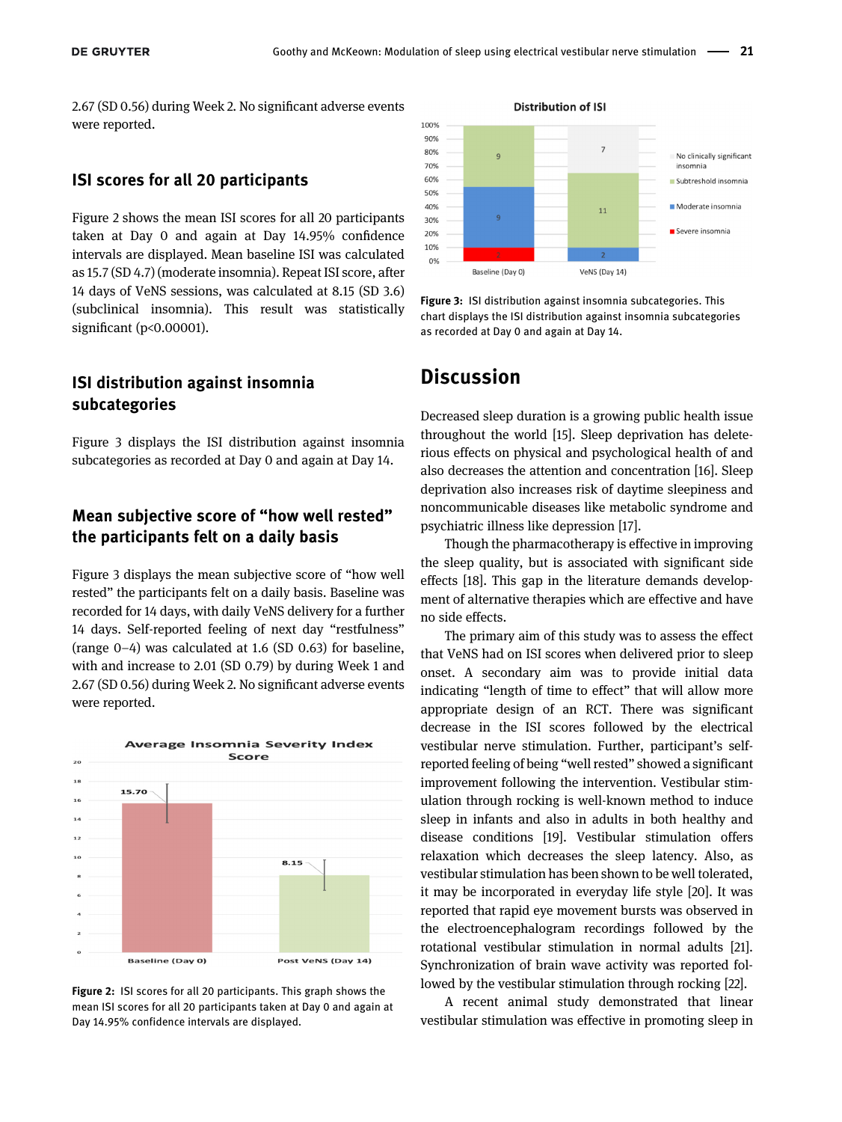2.67 (SD 0.56) during Week 2. No significant adverse events were reported.

#### ISI scores for all 20 participants

[Figure 2](#page-2-0) shows the mean ISI scores for all 20 participants taken at Day 0 and again at Day 14.95% confidence intervals are displayed. Mean baseline ISI was calculated as 15.7 (SD 4.7) (moderate insomnia). Repeat ISI score, after 14 days of VeNS sessions, was calculated at 8.15 (SD 3.6) (subclinical insomnia). This result was statistically significant ( $p<0.00001$ ).

### ISI distribution against insomnia subcategories

[Figure 3](#page-2-1) displays the ISI distribution against insomnia subcategories as recorded at Day 0 and again at Day 14.

### Mean subjective score of "how well rested" the participants felt on a daily basis

[Figure 3](#page-2-1) displays the mean subjective score of "how well rested" the participants felt on a daily basis. Baseline was recorded for 14 days, with daily VeNS delivery for a further 14 days. Self-reported feeling of next day "restfulness" (range 0–4) was calculated at 1.6 (SD 0.63) for baseline, with and increase to 2.01 (SD 0.79) by during Week 1 and 2.67 (SD 0.56) during Week 2. No significant adverse events were reported.



<span id="page-2-0"></span>Figure 2: ISI scores for all 20 participants. This graph shows the mean ISI scores for all 20 participants taken at Day 0 and again at Day 14.95% confidence intervals are displayed.



<span id="page-2-1"></span>Figure 3: ISI distribution against insomnia subcategories. This chart displays the ISI distribution against insomnia subcategories as recorded at Day 0 and again at Day 14.

# **Discussion**

Decreased sleep duration is a growing public health issue throughout the world [[15\]](#page-4-12). Sleep deprivation has deleterious effects on physical and psychological health of and also decreases the attention and concentration [[16\]](#page-4-13). Sleep deprivation also increases risk of daytime sleepiness and noncommunicable diseases like metabolic syndrome and psychiatric illness like depression [\[17](#page-4-14)].

Though the pharmacotherapy is effective in improving the sleep quality, but is associated with significant side effects [\[18](#page-4-15)]. This gap in the literature demands development of alternative therapies which are effective and have no side effects.

The primary aim of this study was to assess the effect that VeNS had on ISI scores when delivered prior to sleep onset. A secondary aim was to provide initial data indicating "length of time to effect" that will allow more appropriate design of an RCT. There was significant decrease in the ISI scores followed by the electrical vestibular nerve stimulation. Further, participant's selfreported feeling of being "well rested" showed a significant improvement following the intervention. Vestibular stimulation through rocking is well-known method to induce sleep in infants and also in adults in both healthy and disease conditions [[19\]](#page-4-16). Vestibular stimulation offers relaxation which decreases the sleep latency. Also, as vestibular stimulation has been shown to be well tolerated, it may be incorporated in everyday life style [\[20\]](#page-4-17). It was reported that rapid eye movement bursts was observed in the electroencephalogram recordings followed by the rotational vestibular stimulation in normal adults [[21\]](#page-4-18). Synchronization of brain wave activity was reported followed by the vestibular stimulation through rocking [\[22\]](#page-4-19).

A recent animal study demonstrated that linear vestibular stimulation was effective in promoting sleep in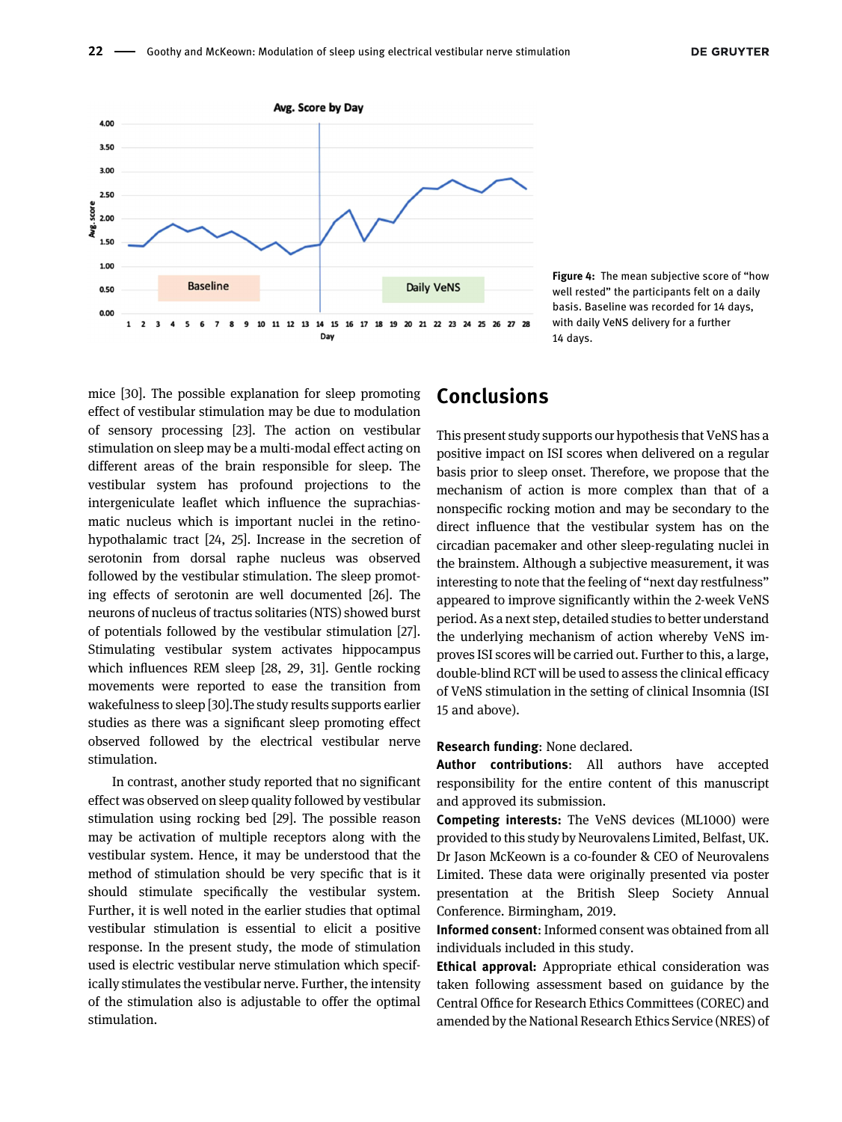

<span id="page-3-0"></span>Figure 4: The mean subjective score of "how well rested" the participants felt on a daily basis. Baseline was recorded for 14 days, with daily VeNS delivery for a further 14 days.

mice [\[30](#page-4-20)]. The possible explanation for sleep promoting effect of vestibular stimulation may be due to modulation of sensory processing [[23\]](#page-4-21). The action on vestibular stimulation on sleep may be a multi-modal effect acting on different areas of the brain responsible for sleep. The vestibular system has profound projections to the intergeniculate leaflet which influence the suprachiasmatic nucleus which is important nuclei in the retinohypothalamic tract [[24, 25](#page-4-22)]. Increase in the secretion of serotonin from dorsal raphe nucleus was observed followed by the vestibular stimulation. The sleep promoting effects of serotonin are well documented [[26\]](#page-4-23). The neurons of nucleus of tractus solitaries (NTS) showed burst of potentials followed by the vestibular stimulation [[27](#page-4-24)]. Stimulating vestibular system activates hippocampus which influences REM sleep [\[28, 29, 31](#page-4-25)]. Gentle rocking movements were reported to ease the transition from wakefulness to sleep [[30\]](#page-4-20).The study results supports earlier studies as there was a significant sleep promoting effect observed followed by the electrical vestibular nerve stimulation.

In contrast, another study reported that no significant effect was observed on sleep quality followed by vestibular stimulation using rocking bed [[29\]](#page-4-26). The possible reason may be activation of multiple receptors along with the vestibular system. Hence, it may be understood that the method of stimulation should be very specific that is it should stimulate specifically the vestibular system. Further, it is well noted in the earlier studies that optimal vestibular stimulation is essential to elicit a positive response. In the present study, the mode of stimulation used is electric vestibular nerve stimulation which specifically stimulates the vestibular nerve. Further, the intensity of the stimulation also is adjustable to offer the optimal stimulation.

# Conclusions

This present study supports our hypothesis that VeNS has a positive impact on ISI scores when delivered on a regular basis prior to sleep onset. Therefore, we propose that the mechanism of action is more complex than that of a nonspecific rocking motion and may be secondary to the direct influence that the vestibular system has on the circadian pacemaker and other sleep-regulating nuclei in the brainstem. Although a subjective measurement, it was interesting to note that the feeling of "next day restfulness" appeared to improve significantly within the 2-week VeNS period. As a next step, detailed studies to better understand the underlying mechanism of action whereby VeNS improves ISI scores will be carried out. Further to this, a large, double-blind RCT will be used to assess the clinical efficacy of VeNS stimulation in the setting of clinical Insomnia (ISI 15 and above).

#### Research funding: None declared.

Author contributions: All authors have accepted responsibility for the entire content of this manuscript and approved its submission.

Competing interests: The VeNS devices (ML1000) were provided to this study by Neurovalens Limited, Belfast, UK. Dr Jason McKeown is a co-founder & CEO of Neurovalens Limited. These data were originally presented via poster presentation at the British Sleep Society Annual Conference. Birmingham, 2019.

Informed consent: Informed consent was obtained from all individuals included in this study.

Ethical approval: Appropriate ethical consideration was taken following assessment based on guidance by the Central Office for Research Ethics Committees (COREC) and amended by the National Research Ethics Service (NRES) of